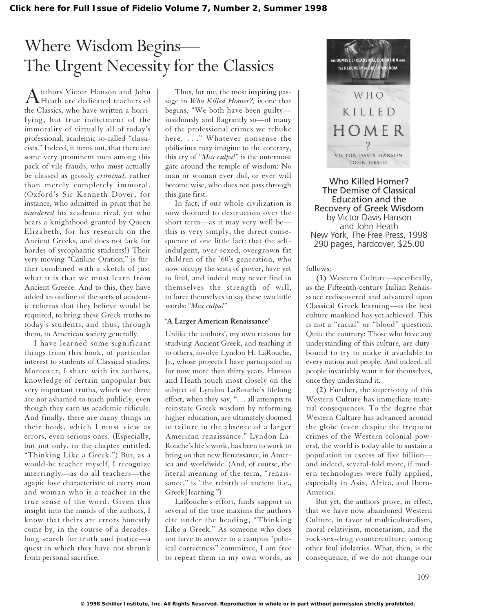# Where Wisdom Begins— The Urgent Necessity for the Classics

Authors Victor Hanson and John<br>Heath are dedicated teachers of the Classics, who have written a horrifying, but true indictment of the immorality of virtually all of today's professional, academic so-called "classicists." Indeed, it turns out, that there are some very prominent men among this pack of vile frauds, who must actually be classed as grossly *criminal,* rather than merely completely immoral. (Oxford's Sir Kenneth Dover, for instance, who admitted in print that he *murdered* his academic rival, yet who bears a knighthood granted by Queen Elizabeth, for his research on the Ancient Greeks, and does not lack for hordes of sycophantic students!) Their very moving "Catiline Oration," is further combined with a sketch of just what it is that we must learn from Ancient Greece. And to this, they have added an outline of the sorts of academic reforms that they believe would be required, to bring these Greek truths to today's students, and thus, through them, to American society generally.

I have learned some significant things from this book, of particular interest to students of Classical studies. Moreover, I share with its authors, knowledge of certain unpopular but very important truths, which we three are not ashamed to teach publicly, even though they earn us academic ridicule. And finally, there are many things in their book, which I must view as errors, even serious ones. (Especially, but not only, in the chapter entitled, "Thinking Like a Greek.") But, as a would-be teacher myself, I recognize unerringly—as do all teachers—the agapic love characteristic of every man and woman who is a teacher in the true sense of the word. Given this insight into the minds of the authors, I know that theirs are errors honestly come by, in the course of a decadeslong search for truth and justice—a quest in which they have not shrunk from personal sacrifice.

Thus, for me, the most inspiring passage in *Who Killed Homer?,* is one that begins, "We both have been guilty insidiously and flagrantly so—of many of the professional crimes we rebuke here. . . ." Whatever nonsense the philistines may imagine to the contrary, this cry of "*Mea culpa!*" is the outermost gate around the temple of wisdom: No man or woman ever did, or ever will become wise, who does not pass through this gate first.

In fact, if our whole civilization is now doomed to destruction over the short term—as it may very well be this is very simply, the direct consequence of one little fact: that the selfindulgent, over-sexed, overgrown fat children of the '60's generation, who now occupy the seats of power, have yet to find, and indeed may never find in themselves the strength of will, to force themselves to say these two little words: "*Mea culpa!*"

#### **'A Larger American Renaissance'**

Unlike the authors', my own reasons for studying Ancient Greek, and teaching it to others, involve Lyndon H. LaRouche, Jr., whose projects I have participated in for now more than thirty years. Hanson and Heath touch most closely on the subject of Lyndon LaRouche's lifelong effort, when they say, ". . . all attempts to reinstate Greek wisdom by reforming higher education, are ultimately doomed to failure in the absence of a larger American renaissance." Lyndon La-Rouche's life's work, has been to work to bring on that new Renaissance, in America and worldwide. (And, of course, the literal meaning of the term, "renaissance," is "the rebirth of ancient [i.e., Greek] learning.")

LaRouche's effort, finds support in several of the true maxims the authors cite under the heading, "Thinking Like a Greek." As someone who does not have to answer to a campus "political correctness" committee, I am free to repeat them in my own words, as



Who Killed Homer? The Demise of Classical Education and the Recovery of Greek Wisdom by Victor Davis Hanson and John Heath New York, The Free Press, 1998 290 pages, hardcover, \$25.00

### follows:

**(1)** Western Culture—specifically, as the Fifteenth-century Italian Renaissance rediscovered and advanced upon Classical Greek learning—is the best culture mankind has yet achieved. This is not a "racial" or "blood" question. Quite the contrary: Those who have any understanding of this culture, are dutybound to try to make it available to every nation and people. And indeed, all people invariably want it for themselves, once they understand it.

**(2)** Further, the superiority of this Western Culture has immediate material consequences. To the degree that Western Culture has advanced around the globe (even despite the frequent crimes of the Western colonial powers), the world is today able to sustain a population in excess of five billion and indeed, several-fold more, if modern technologies were fully applied, especially in Asia, Africa, and Ibero-America.

But yet, the authors prove, in effect, that we have now abandoned Western Culture, in favor of multiculturalism, moral relativism, monetarism, and the rock-sex-drug counterculture, among other foul idolatries. What, then, is the consequence, if we do not change our